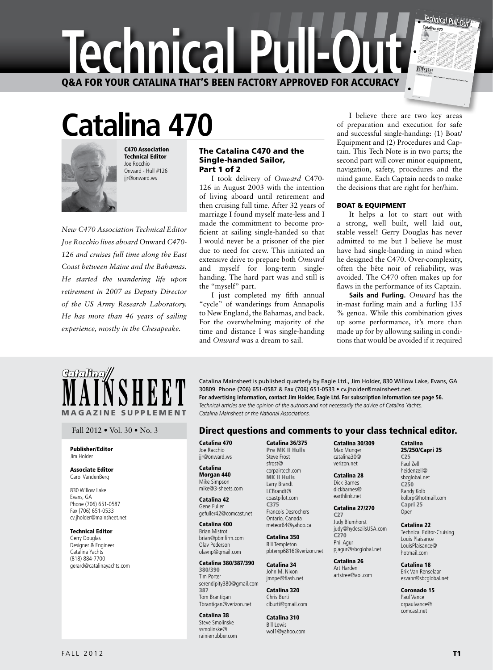

# **Catalina 470**



Technical Editor Joe Rocchio Onward - Hull #126 jjr@onward.ws

C470 Association

*New C470 Association Technical Editor Joe Rocchio lives aboard* Onward *C470- 126 and cruises full time along the East Coast between Maine and the Bahamas. He started the wandering life upon retirement in 2007 as Deputy Director of the US Army Research Laboratory. He has more than 46 years of sailing experience, mostly in the Chesapeake.*

#### The Catalina C470 and the Single-handed Sailor, Part 1 of 2

I took delivery of Onward C470- $126$  in August 2003 with the intention of living aboard until retirement and then cruising full time. After 32 years of marriage I found myself mate-less and I made the commitment to become proficient at sailing single-handed so that I would never be a prisoner of the pier due to need for crew. This initiated an extensive drive to prepare both Onward and myself for long-term singlehanding. The hard part was and still is the "myself" part.

I just completed my fifth annual "cycle" of wanderings from Annapolis to New England, the Bahamas, and back. For the overwhelming majority of the time and distance I was single-handing and *Onward* was a dream to sail.

I believe there are two key areas of preparation and execution for safe and successful single-handing: (1) Boat/ Equipment and (2) Procedures and Captain. This Tech Note is in two parts; the second part will cover minor equipment, navigation, safety, procedures and the mind game. Each Captain needs to make the decisions that are right for her/him.

#### BOAT & EQUIPMENT

It helps a lot to start out with a strong, well built, well laid out, stable vessel! Gerry Douglas has never admitted to me but I believe he must have had single-handing in mind when he designed the C470. Over-complexity, often the bête noir of reliability, was avoided. The C470 often makes up for flaws in the performance of its Captain.

**Sails and Furling.** *Onward* has the in-mast furling main and a furling 135 % genoa. While this combination gives up some performance, it's more than made up for by allowing sailing in conditions that would be avoided if it required



#### Publisher/Editor Jim Holder

#### Associate Editor Carol VandenBerg

830 Willow Lake Evans, GA Phone (706) 651-0587 Fax (706) 651-0533 cv.jholder@mainsheet.net

#### Technical Editor

Gerry Douglas Designer & Engineer Catalina Yachts (818) 884-7700 gerard@catalinayachts.com

**MAINSHEET** Catalina Mainsheet is published quarterly by Eagle Ltd., Jim Holder, 830 Willow Lake, Evans, GA 30809 Phone (706) 651-0587 & Fax (706) 651-0533 • cv.jholder@mainsheet.net.<br>For advertising information, contact J 30809 Phone (706) 651-0587 & Fax (706) 651-0533 · cv.jholder@mainsheet.net. **For advertising information, contact Jim Holder, Eagle Ltd. For subscription information see page 56.** *Catalina Mainsheet or the National Associations.* 

### Fall 2012 • Vol. 30 • No. 3 **Direct questions and comments to your class technical editor.**

Catalina 470 Joe Racchio jir@onward.ws

#### Catalina Morgan 440 Mike Simpson mike@3-sheets.com

Catalina 42 Gene Fuller gefuller42@comcast.net

#### Catalina 400 Brian Mistrot brian@pbmfirm.com Olav Pederson olavnp@gmail.com

Catalina 380/387/390 380/390 Tim Porter serendipity380@gmail.com 387 Tom Brantigan Tbrantigan@verizon.net

## Catalina 38

Steve Smolinske ssmolinske@ rainierrubber.com

Catalina 36/375 Pre MK II Hulls Steve Frost sfrost@ corpairtech.com MK II Hulls Larry Brandt

#### LCBrandt@ coastpilot.com C375 Francois Desrochers Ontario, Canada meteor64@yahoo.ca

Catalina 350 Bill Templeton pbtemp6816@verizon.net

Catalina 34 John M. Nixon jmnpe@flash.net

Catalina 320 Chris Burti clburti@gmail.com

Catalina 310 Bill Lewis wol1@yahoo.com Catalina 30/309 Max Munger catalina30@ verizon.net

Catalina 28 Dick Barnes dickbarnes@ earthlink.net

#### Catalina 27/270 C27 Judy Blumhorst judy@hydesailsUSA.com C270 Phil Agur pjagur@sbcglobal.net

Catalina 26 Art Harden artstree@aol.com

Coronado 15 Paul Vance drpaulvance@ comcast.net

Catalina 25/250/Capri 25 C25 Paul Zell heidenzell@ sbcglobal.net C250 Randy Kolb kolbrp@hotmail.com Capri 25 Open Catalina 22 Technical Editor-Cruising Louis Plaisance LouisPlaisance@ hotmail.com Catalina 18 Erik Van Renselaar esvanr@sbcglobal.net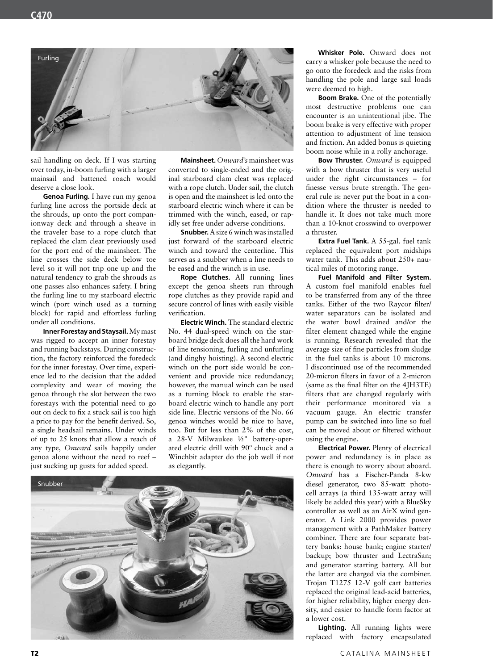

sail handling on deck. If I was starting over today, in-boom furling with a larger mainsail and battened roach would deserve a close look.

Genoa Furling. I have run my genoa furling line across the portside deck at the shrouds, up onto the port companionway deck and through a sheave in the traveler base to a rope clutch that replaced the clam cleat previously used for the port end of the mainsheet. The line crosses the side deck below toe level so it will not trip one up and the natural tendency to grab the shrouds as one passes also enhances safety. I bring the furling line to my starboard electric winch (port winch used as a turning block) for rapid and effortless furling under all conditions.

Inner Forestay and Staysail. My mast was rigged to accept an inner forestay and running backstays. During construction, the factory reinforced the foredeck for the inner forestay. Over time, experience led to the decision that the added complexity and wear of moving the genoa through the slot between the two forestays with the potential need to go out on deck to fix a stuck sail is too high a price to pay for the benefit derived. So, a single headsail remains. Under winds of up to 25 knots that allow a reach of any type, Onward sails happily under genoa alone without the need to reef – just sucking up gusts for added speed.

Mainsheet. Onward's mainsheet was converted to single-ended and the original starboard clam cleat was replaced with a rope clutch. Under sail, the clutch is open and the mainsheet is led onto the starboard electric winch where it can be trimmed with the winch, eased, or rapidly set free under adverse conditions.

**Snubber.** A size 6 winch was installed just forward of the starboard electric winch and toward the centerline. This serves as a snubber when a line needs to be eased and the winch is in use.

Rope Clutches. All running lines except the genoa sheets run through rope clutches as they provide rapid and secure control of lines with easily visible verification.

Electric Winch. The standard electric No. 44 dual-speed winch on the starboard bridge deck does all the hard work of line tensioning, furling and unfurling (and dinghy hoisting). A second electric winch on the port side would be convenient and provide nice redundancy; however, the manual winch can be used as a turning block to enable the starboard electric winch to handle any port side line. Electric versions of the No. 66 genoa winches would be nice to have, too. But for less than 2% of the cost, a 28-V Milwaukee 1/2" battery-operated electric drill with 90° chuck and a Winchbit adapter do the job well if not as elegantly.



Whisker Pole. Onward does not carry a whisker pole because the need to go onto the foredeck and the risks from handling the pole and large sail loads were deemed to high.

Boom Brake. One of the potentially most destructive problems one can encounter is an unintentional jibe. The boom brake is very effective with proper attention to adjustment of line tension and friction. An added bonus is quieting boom noise while in a rolly anchorage.

**Bow Thruster.** Onward is equipped with a bow thruster that is very useful under the right circumstances - for finesse versus brute strength. The general rule is: never put the boat in a condition where the thruster is needed to handle it. It does not take much more than a 10-knot crosswind to overpower a thruster.

Extra Fuel Tank. A 55-gal. fuel tank replaced the equivalent port midships water tank. This adds about 250+ nautical miles of motoring range.

Fuel Manifold and Filter System. A custom fuel manifold enables fuel to be transferred from any of the three tanks. Either of the two Raycor filter/ water separators can be isolated and the water bowl drained and/or the filter element changed while the engine is running. Research revealed that the average size of fine particles from sludge in the fuel tanks is about 10 microns. I discontinued use of the recommended 20-micron filters in favor of a 2-micron (same as the final filter on the 4JH3TE) filters that are changed regularly with their performance monitored via a vacuum gauge. An electric transfer pump can be switched into line so fuel can be moved about or filtered without using the engine.

Electrical Power. Plenty of electrical power and redundancy is in place as there is enough to worry about aboard. Onward has a Fischer-Panda 8-kw diesel generator, two 85-watt photocell arrays (a third 135-watt array will likely be added this year) with a BlueSky controller as well as an AirX wind generator. A Link 2000 provides power management with a PathMaker battery combiner. There are four separate battery banks: house bank; engine starter/ backup; bow thruster and LectraSan; and generator starting battery. All but the latter are charged via the combiner. Trojan T1275 12-V golf cart batteries replaced the original lead-acid batteries, for higher reliability, higher energy density, and easier to handle form factor at a lower cost.

Lighting. All running lights were replaced with factory encapsulated